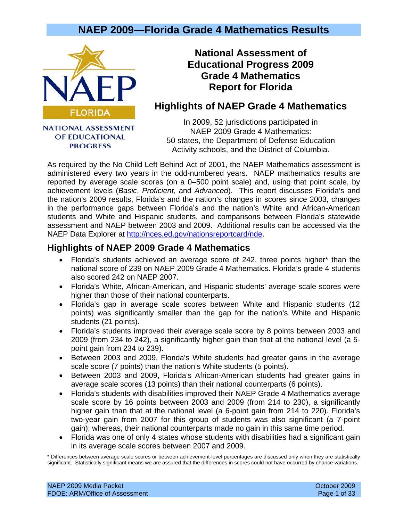

OF EDUCATIONAL **PROGRESS** 

**National Assessment of Educational Progress 2009 Grade 4 Mathematics Report for Florida** 

### **Highlights of NAEP Grade 4 Mathematics**

In 2009, 52 jurisdictions participated in NAEP 2009 Grade 4 Mathematics: 50 states, the Department of Defense Education Activity schools, and the District of Columbia.

As required by the No Child Left Behind Act of 2001, the NAEP Mathematics assessment is administered every two years in the odd-numbered years. NAEP mathematics results are reported by average scale scores (on a 0–500 point scale) and, using that point scale, by achievement levels (*Basic*, *Proficient*, and *Advanced*). This report discusses Florida's and the nation's 2009 results, Florida's and the nation's changes in scores since 2003, changes in the performance gaps between Florida's and the nation's White and African-American students and White and Hispanic students, and comparisons between Florida's statewide assessment and NAEP between 2003 and 2009. Additional results can be accessed via the NAEP Data Explorer at [http://nces.ed.gov/nationsreportcard/nde.](http://nces.ed.gov/nationsreportcard/nde)

### **Highlights of NAEP 2009 Grade 4 Mathematics**

- Florida's students achieved an average score of 242, three points higher\* than the national score of 239 on NAEP 2009 Grade 4 Mathematics. Florida's grade 4 students also scored 242 on NAEP 2007.
- Florida's White, African-American, and Hispanic students' average scale scores were higher than those of their national counterparts.
- Florida's gap in average scale scores between White and Hispanic students (12 points) was significantly smaller than the gap for the nation's White and Hispanic students (21 points).
- Florida's students improved their average scale score by 8 points between 2003 and 2009 (from 234 to 242), a significantly higher gain than that at the national level (a 5 point gain from 234 to 239).
- Between 2003 and 2009, Florida's White students had greater gains in the average scale score (7 points) than the nation's White students (5 points).
- Between 2003 and 2009, Florida's African-American students had greater gains in average scale scores (13 points) than their national counterparts (6 points).
- Florida's students with disabilities improved their NAEP Grade 4 Mathematics average scale score by 16 points between 2003 and 2009 (from 214 to 230), a significantly higher gain than that at the national level (a 6-point gain from 214 to 220). Florida's two-year gain from 2007 for this group of students was also significant (a 7-point gain); whereas, their national counterparts made no gain in this same time period.
- Florida was one of only 4 states whose students with disabilities had a significant gain in its average scale scores between 2007 and 2009.

\* Differences between average scale scores or between achievement-level percentages are discussed only when they are statistically significant. Statistically significant means we are assured that the differences in scores could not have occurred by chance variations.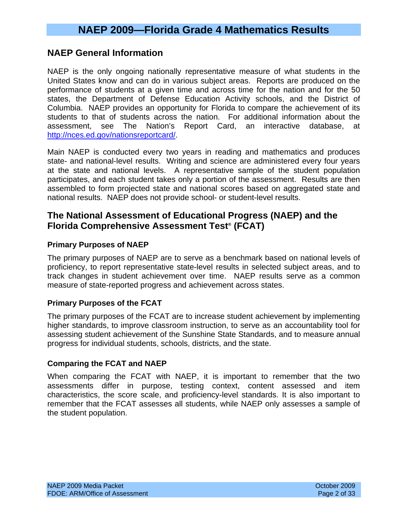### **NAEP General Information**

NAEP is the only ongoing nationally representative measure of what students in the United States know and can do in various subject areas. Reports are produced on the performance of students at a given time and across time for the nation and for the 50 states, the Department of Defense Education Activity schools, and the District of Columbia. NAEP provides an opportunity for Florida to compare the achievement of its students to that of students across the nation. For additional information about the assessment, see The Nation's Report Card, an interactive database, at [http://nces.ed.gov/nationsreportcard/.](http://nces.ed.gov/nationsreportcard/)

Main NAEP is conducted every two years in reading and mathematics and produces state- and national-level results. Writing and science are administered every four years at the state and national levels. A representative sample of the student population participates, and each student takes only a portion of the assessment. Results are then assembled to form projected state and national scores based on aggregated state and national results. NAEP does not provide school- or student-level results.

### **The National Assessment of Educational Progress (NAEP) and the Florida Comprehensive Assessment Test® (FCAT)**

#### **Primary Purposes of NAEP**

The primary purposes of NAEP are to serve as a benchmark based on national levels of proficiency, to report representative state-level results in selected subject areas, and to track changes in student achievement over time. NAEP results serve as a common measure of state-reported progress and achievement across states.

### **Primary Purposes of the FCAT**

The primary purposes of the FCAT are to increase student achievement by implementing higher standards, to improve classroom instruction, to serve as an accountability tool for assessing student achievement of the Sunshine State Standards, and to measure annual progress for individual students, schools, districts, and the state.

#### **Comparing the FCAT and NAEP**

When comparing the FCAT with NAEP, it is important to remember that the two assessments differ in purpose, testing context, content assessed and item characteristics, the score scale, and proficiency-level standards. It is also important to remember that the FCAT assesses all students, while NAEP only assesses a sample of the student population.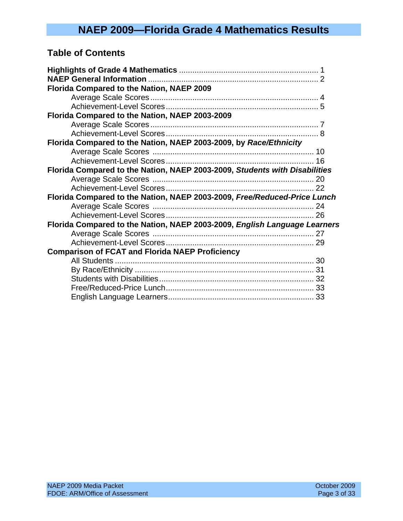## **Table of Contents**

| Florida Compared to the Nation, NAEP 2009                                  |  |
|----------------------------------------------------------------------------|--|
|                                                                            |  |
|                                                                            |  |
| Florida Compared to the Nation, NAEP 2003-2009                             |  |
|                                                                            |  |
|                                                                            |  |
| Florida Compared to the Nation, NAEP 2003-2009, by Race/Ethnicity          |  |
|                                                                            |  |
|                                                                            |  |
| Florida Compared to the Nation, NAEP 2003-2009, Students with Disabilities |  |
|                                                                            |  |
|                                                                            |  |
| Florida Compared to the Nation, NAEP 2003-2009, Free/Reduced-Price Lunch   |  |
|                                                                            |  |
|                                                                            |  |
| Florida Compared to the Nation, NAEP 2003-2009, English Language Learners  |  |
|                                                                            |  |
|                                                                            |  |
| <b>Comparison of FCAT and Florida NAEP Proficiency</b>                     |  |
|                                                                            |  |
|                                                                            |  |
|                                                                            |  |
|                                                                            |  |
|                                                                            |  |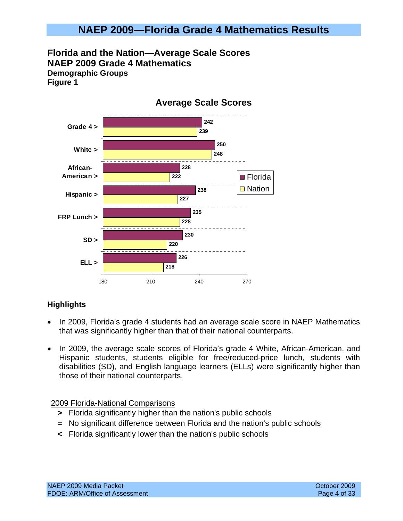**Florida and the Nation—Average Scale Scores NAEP 2009 Grade 4 Mathematics Demographic Groups Figure 1** 



### **Highlights**

- In 2009, Florida's grade 4 students had an average scale score in NAEP Mathematics that was significantly higher than that of their national counterparts.
- In 2009, the average scale scores of Florida's grade 4 White, African-American, and Hispanic students, students eligible for free/reduced-price lunch, students with disabilities (SD), and English language learners (ELLs) were significantly higher than those of their national counterparts.

### 2009 Florida-National Comparisons

- **>** Florida significantly higher than the nation's public schools
- **=** No significant difference between Florida and the nation's public schools
- **<** Florida significantly lower than the nation's public schools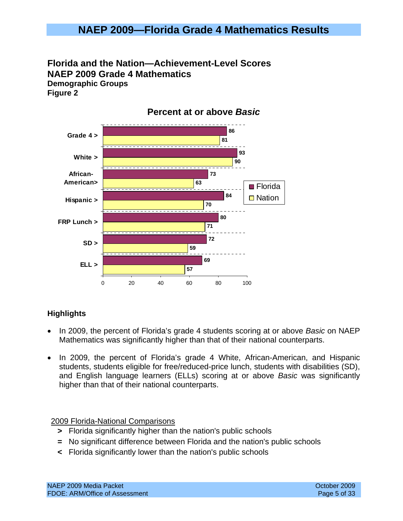## **Florida and the Nation—Achievement-Level Scores NAEP 2009 Grade 4 Mathematics Demographic Groups**

**Figure 2** 



### **Percent at or above** *Basic*

### **Highlights**

- In 2009, the percent of Florida's grade 4 students scoring at or above *Basic* on NAEP Mathematics was significantly higher than that of their national counterparts.
- In 2009, the percent of Florida's grade 4 White, African-American, and Hispanic students, students eligible for free/reduced-price lunch, students with disabilities (SD), and English language learners (ELLs) scoring at or above *Basic* was significantly higher than that of their national counterparts.

### 2009 Florida-National Comparisons

- **>** Florida significantly higher than the nation's public schools
- **=** No significant difference between Florida and the nation's public schools
- **<** Florida significantly lower than the nation's public schools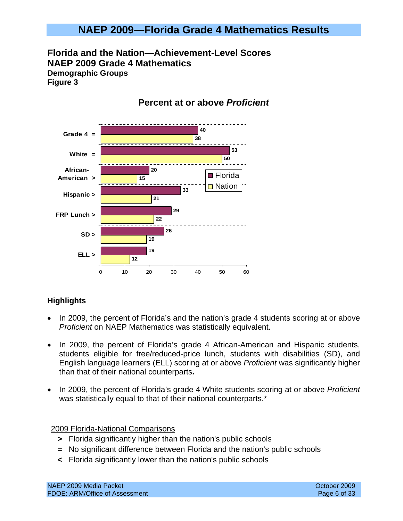**Florida and the Nation—Achievement-Level Scores NAEP 2009 Grade 4 Mathematics Demographic Groups Figure 3** 

#### **12 19 22 21 15 50 38 19 26 29 33 20 53 40** 0 10 20 30 40 50 60 **ELL > SD > FRP Lunch > Hispanic > African-American > White = Grade 4 = ■** Florida **□** Nation

### **Percent at or above** *Proficient*

### **Highlights**

- In 2009, the percent of Florida's and the nation's grade 4 students scoring at or above *Proficient* on NAEP Mathematics was statistically equivalent.
- In 2009, the percent of Florida's grade 4 African-American and Hispanic students, students eligible for free/reduced-price lunch, students with disabilities (SD), and English language learners (ELL) scoring at or above *Proficient* was significantly higher than that of their national counterparts**.**
- In 2009, the percent of Florida's grade 4 White students scoring at or above *Proficient* was statistically equal to that of their national counterparts.<sup>\*</sup>

### 2009 Florida-National Comparisons

- **>** Florida significantly higher than the nation's public schools
- **=** No significant difference between Florida and the nation's public schools
- **<** Florida significantly lower than the nation's public schools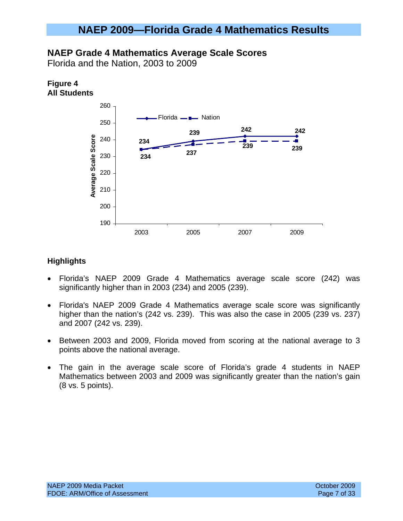### **NAEP Grade 4 Mathematics Average Scale Scores**

Florida and the Nation, 2003 to 2009

### **Figure 4 All Students**



- Florida's NAEP 2009 Grade 4 Mathematics average scale score (242) was significantly higher than in 2003 (234) and 2005 (239).
- Florida's NAEP 2009 Grade 4 Mathematics average scale score was significantly higher than the nation's (242 vs. 239). This was also the case in 2005 (239 vs. 237) and 2007 (242 vs. 239).
- Between 2003 and 2009, Florida moved from scoring at the national average to 3 points above the national average.
- The gain in the average scale score of Florida's grade 4 students in NAEP Mathematics between 2003 and 2009 was significantly greater than the nation's gain (8 vs. 5 points).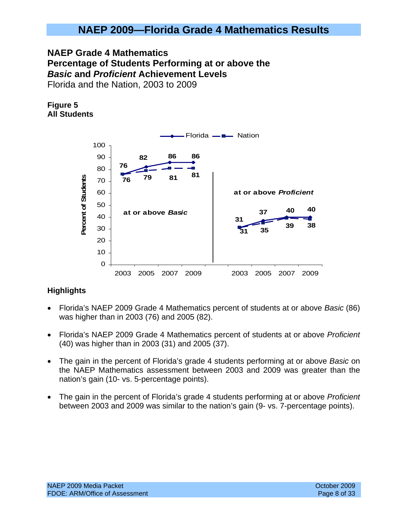### **NAEP Grade 4 Mathematics Percentage of Students Performing at or above the**  *Basic* **and** *Proficient* **Achievement Levels**  Florida and the Nation, 2003 to 2009

### **Figure 5 All Students**



- Florida's NAEP 2009 Grade 4 Mathematics percent of students at or above *Basic* (86) was higher than in 2003 (76) and 2005 (82).
- Florida's NAEP 2009 Grade 4 Mathematics percent of students at or above *Proficient* (40) was higher than in 2003 (31) and 2005 (37).
- The gain in the percent of Florida's grade 4 students performing at or above *Basic* on the NAEP Mathematics assessment between 2003 and 2009 was greater than the nation's gain (10- vs. 5-percentage points).
- The gain in the percent of Florida's grade 4 students performing at or above *Proficient* between 2003 and 2009 was similar to the nation's gain (9- vs. 7-percentage points).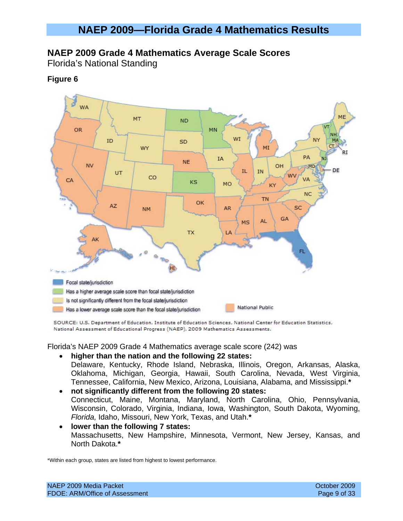### **NAEP 2009 Grade 4 Mathematics Average Scale Scores**

Florida's National Standing

### **Figure 6**



SOURCE: U.S. Department of Education, Institute of Education Sciences, National Center for Education Statistics, National Assessment of Educational Progress (NAEP), 2009 Mathematics Assessments.

#### Florida's NAEP 2009 Grade 4 Mathematics average scale score (242) was

- **higher than the nation and the following 22 states:**  Delaware, Kentucky, Rhode Island, Nebraska, Illinois, Oregon, Arkansas, Alaska, Oklahoma, Michigan, Georgia, Hawaii, South Carolina, Nevada, West Virginia, Tennessee, California, New Mexico, Arizona, Louisiana, Alabama, and Mississippi.**\***
- **not significantly different from the following 20 states:**  Connecticut, Maine, Montana, Maryland, North Carolina, Ohio, Pennsylvania, Wisconsin, Colorado, Virginia, Indiana, Iowa, Washington, South Dakota, Wyoming, *Florida,* Idaho, Missouri, New York, Texas, and Utah.**\***
- **lower than the following 7 states:**  Massachusetts, New Hampshire, Minnesota, Vermont, New Jersey, Kansas, and North Dakota.**\***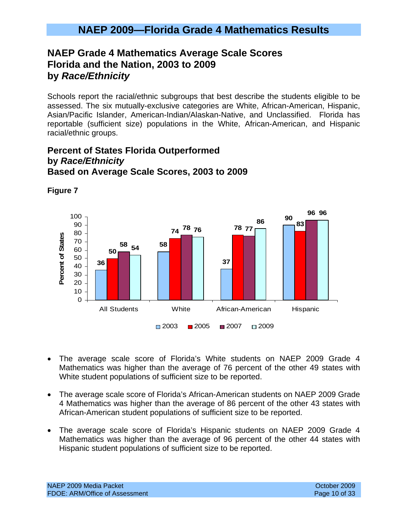## **NAEP Grade 4 Mathematics Average Scale Scores Florida and the Nation, 2003 to 2009 by** *Race/Ethnicity*

Schools report the racial/ethnic subgroups that best describe the students eligible to be assessed. The six mutually-exclusive categories are White, African-American, Hispanic, Asian/Pacific Islander, American-Indian/Alaskan-Native, and Unclassified. Florida has reportable (sufficient size) populations in the White, African-American, and Hispanic racial/ethnic groups.

### **Percent of States Florida Outperformed by** *Race/Ethnicity* **Based on Average Scale Scores, 2003 to 2009**



**Figure 7** 

- The average scale score of Florida's White students on NAEP 2009 Grade 4 Mathematics was higher than the average of 76 percent of the other 49 states with White student populations of sufficient size to be reported.
- The average scale score of Florida's African-American students on NAEP 2009 Grade 4 Mathematics was higher than the average of 86 percent of the other 43 states with African-American student populations of sufficient size to be reported.
- The average scale score of Florida's Hispanic students on NAEP 2009 Grade 4 Mathematics was higher than the average of 96 percent of the other 44 states with Hispanic student populations of sufficient size to be reported.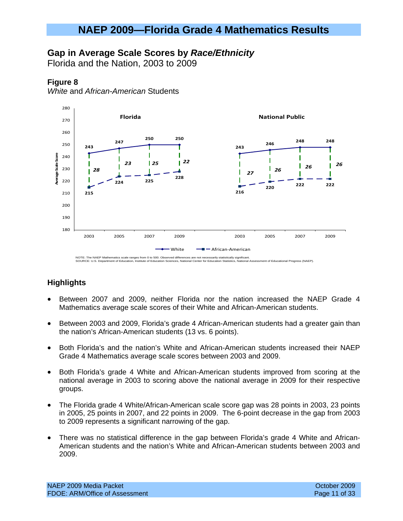### **Gap in Average Scale Scores by** *Race/Ethnicity*

Florida and the Nation, 2003 to 2009

#### **Figure 8**

*White* and *African-American* Students



- Between 2007 and 2009, neither Florida nor the nation increased the NAEP Grade 4 Mathematics average scale scores of their White and African-American students.
- Between 2003 and 2009, Florida's grade 4 African-American students had a greater gain than the nation's African-American students (13 vs. 6 points).
- Both Florida's and the nation's White and African-American students increased their NAEP Grade 4 Mathematics average scale scores between 2003 and 2009.
- Both Florida's grade 4 White and African-American students improved from scoring at the national average in 2003 to scoring above the national average in 2009 for their respective groups.
- The Florida grade 4 White/African-American scale score gap was 28 points in 2003, 23 points in 2005, 25 points in 2007, and 22 points in 2009. The 6-point decrease in the gap from 2003 to 2009 represents a significant narrowing of the gap.
- There was no statistical difference in the gap between Florida's grade 4 White and African-American students and the nation's White and African-American students between 2003 and 2009.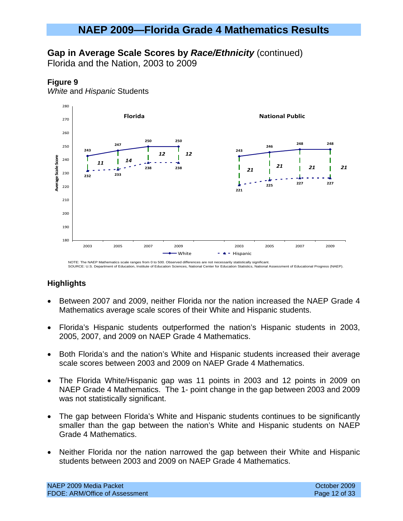### **Gap in Average Scale Scores by** *Race/Ethnicity* (continued)

Florida and the Nation, 2003 to 2009

### **Figure 9**

*White* and *Hispanic* Students



NOTE: The NAEP Mathematics scale ranges from 0 to 500. Observed differences are not necessarily statistically significant. SOURCE: U.S. Department of Education, Institute of Education Sciences, National Center for Education Statistics, National Assessment of Educational Progress (NAEP).

- Between 2007 and 2009, neither Florida nor the nation increased the NAEP Grade 4 Mathematics average scale scores of their White and Hispanic students.
- Florida's Hispanic students outperformed the nation's Hispanic students in 2003, 2005, 2007, and 2009 on NAEP Grade 4 Mathematics.
- Both Florida's and the nation's White and Hispanic students increased their average scale scores between 2003 and 2009 on NAEP Grade 4 Mathematics.
- The Florida White/Hispanic gap was 11 points in 2003 and 12 points in 2009 on NAEP Grade 4 Mathematics. The 1- point change in the gap between 2003 and 2009 was not statistically significant.
- The gap between Florida's White and Hispanic students continues to be significantly smaller than the gap between the nation's White and Hispanic students on NAEP Grade 4 Mathematics.
- Neither Florida nor the nation narrowed the gap between their White and Hispanic students between 2003 and 2009 on NAEP Grade 4 Mathematics.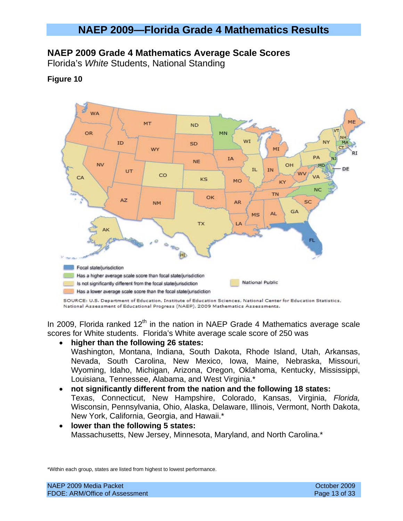### **NAEP 2009 Grade 4 Mathematics Average Scale Scores**

Florida's *White* Students, National Standing

### **Figure 10**



National Assessment of Educational Progress (NAEP), 2009 Mathematics Assessments.

In 2009, Florida ranked  $12<sup>th</sup>$  in the nation in NAEP Grade 4 Mathematics average scale scores for White students. Florida's White average scale score of 250 was

• **higher than the following 26 states:** 

Washington, Montana, Indiana, South Dakota, Rhode Island, Utah, Arkansas, Nevada, South Carolina, New Mexico, Iowa, Maine, Nebraska, Missouri, Wyoming, Idaho, Michigan, Arizona, Oregon, Oklahoma, Kentucky, Mississippi, Louisiana, Tennessee, Alabama, and West Virginia.\*

- **not significantly different from the nation and the following 18 states:**  Texas, Connecticut, New Hampshire, Colorado, Kansas, Virginia, *Florida,*  Wisconsin, Pennsylvania, Ohio, Alaska, Delaware, Illinois, Vermont, North Dakota, New York, California, Georgia, and Hawaii.\*
- **lower than the following 5 states:**  Massachusetts, New Jersey, Minnesota, Maryland, and North Carolina.\*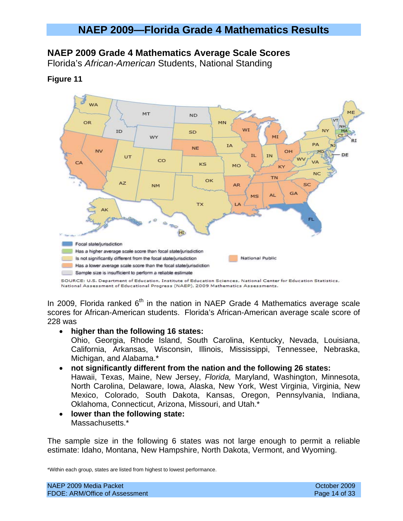### **NAEP 2009 Grade 4 Mathematics Average Scale Scores**

Florida's *African-American* Students, National Standing

**Figure 11** 



#### National Assessment of Educational Progress (NAEP), 2009 Mathematics Assessments.

In 2009, Florida ranked  $6<sup>th</sup>$  in the nation in NAEP Grade 4 Mathematics average scale scores for African-American students. Florida's African-American average scale score of 228 was

#### • **higher than the following 16 states:**

Ohio, Georgia, Rhode Island, South Carolina, Kentucky, Nevada, Louisiana, California, Arkansas, Wisconsin, Illinois, Mississippi, Tennessee, Nebraska, Michigan, and Alabama.\*

#### • **not significantly different from the nation and the following 26 states:**

Hawaii, Texas, Maine, New Jersey, *Florida,* Maryland, Washington, Minnesota, North Carolina, Delaware, Iowa, Alaska, New York, West Virginia, Virginia, New Mexico, Colorado, South Dakota, Kansas, Oregon, Pennsylvania, Indiana, Oklahoma, Connecticut, Arizona, Missouri, and Utah.\*

• **lower than the following state:**  Massachusetts.\*

The sample size in the following 6 states was not large enough to permit a reliable estimate: Idaho, Montana, New Hampshire, North Dakota, Vermont, and Wyoming.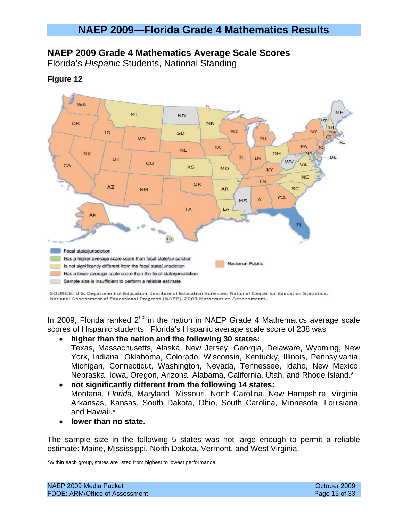### **NAEP 2009 Grade 4 Mathematics Average Scale Scores**

Florida's *Hispanic* Students, National Standing



#### **Figure 12**

SOURCE: U.S. Department of Education, Institute of Education Sciences, National Center for Education Statistics, National Assessment of Educational Progress (NAEP), 2009 Mathematics Assessments.

In 2009, Florida ranked  $2^{nd}$  in the nation in NAEP Grade 4 Mathematics average scale scores of Hispanic students. Florida's Hispanic average scale score of 238 was

• **higher than the nation and the following 30 states:**  Texas, Massachusetts, Alaska, New Jersey, Georgia, Delaware, Wyoming, New York, Indiana, Oklahoma, Colorado, Wisconsin, Kentucky, Illinois, Pennsylvania, Michigan, Connecticut, Washington, Nevada, Tennessee, Idaho, New Mexico,

Nebraska, Iowa, Oregon, Arizona, Alabama, California, Utah, and Rhode Island.\*

- **not significantly different from the following 14 states:**  Montana, *Florida,* Maryland, Missouri, North Carolina, New Hampshire, Virginia, Arkansas, Kansas, South Dakota, Ohio, South Carolina, Minnesota, Louisiana, and Hawaii.\*
- **lower than no state.**

The sample size in the following 5 states was not large enough to permit a reliable estimate: Maine, Mississippi, North Dakota, Vermont, and West Virginia.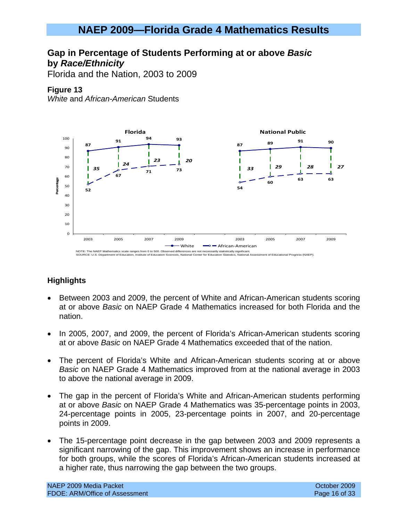### **Gap in Percentage of Students Performing at or above** *Basic* **by** *Race/Ethnicity*

Florida and the Nation, 2003 to 2009

### **Figure 13**

*White* and *African-American* Students



- Between 2003 and 2009, the percent of White and African-American students scoring at or above *Basic* on NAEP Grade 4 Mathematics increased for both Florida and the nation.
- In 2005, 2007, and 2009, the percent of Florida's African-American students scoring at or above *Basic* on NAEP Grade 4 Mathematics exceeded that of the nation.
- The percent of Florida's White and African-American students scoring at or above *Basic* on NAEP Grade 4 Mathematics improved from at the national average in 2003 to above the national average in 2009.
- The gap in the percent of Florida's White and African-American students performing at or above *Basic* on NAEP Grade 4 Mathematics was 35-percentage points in 2003, 24-percentage points in 2005, 23-percentage points in 2007, and 20-percentage points in 2009.
- The 15-percentage point decrease in the gap between 2003 and 2009 represents a significant narrowing of the gap. This improvement shows an increase in performance for both groups, while the scores of Florida's African-American students increased at a higher rate, thus narrowing the gap between the two groups.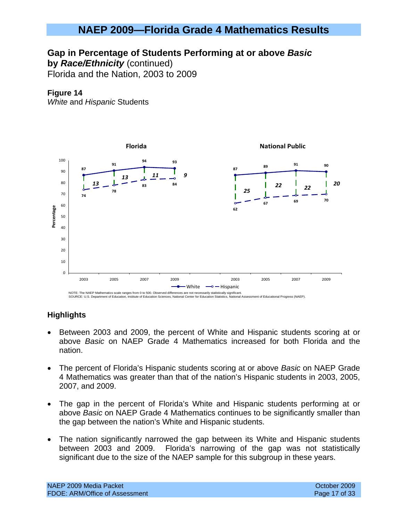### **Gap in Percentage of Students Performing at or above** *Basic*

**by** *Race/Ethnicity* (continued)

Florida and the Nation, 2003 to 2009

### **Figure 14**

*White* and *Hispanic* Students



- Between 2003 and 2009, the percent of White and Hispanic students scoring at or above *Basic* on NAEP Grade 4 Mathematics increased for both Florida and the nation.
- The percent of Florida's Hispanic students scoring at or above *Basic* on NAEP Grade 4 Mathematics was greater than that of the nation's Hispanic students in 2003, 2005, 2007, and 2009.
- The gap in the percent of Florida's White and Hispanic students performing at or above *Basic* on NAEP Grade 4 Mathematics continues to be significantly smaller than the gap between the nation's White and Hispanic students.
- The nation significantly narrowed the gap between its White and Hispanic students between 2003 and 2009. Florida's narrowing of the gap was not statistically significant due to the size of the NAEP sample for this subgroup in these years.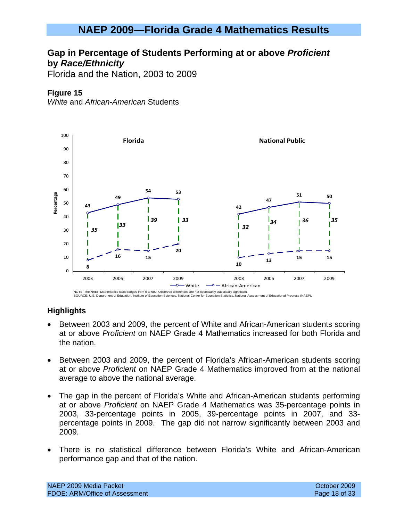### **Gap in Percentage of Students Performing at or above** *Proficient* **by** *Race/Ethnicity*

Florida and the Nation, 2003 to 2009

### **Figure 15**

*White* and *African-American* Students



- Between 2003 and 2009, the percent of White and African-American students scoring at or above *Proficient* on NAEP Grade 4 Mathematics increased for both Florida and the nation.
- Between 2003 and 2009, the percent of Florida's African-American students scoring at or above *Proficient* on NAEP Grade 4 Mathematics improved from at the national average to above the national average.
- The gap in the percent of Florida's White and African-American students performing at or above *Proficient* on NAEP Grade 4 Mathematics was 35-percentage points in 2003, 33-percentage points in 2005, 39-percentage points in 2007, and 33 percentage points in 2009. The gap did not narrow significantly between 2003 and 2009.
- There is no statistical difference between Florida's White and African-American performance gap and that of the nation.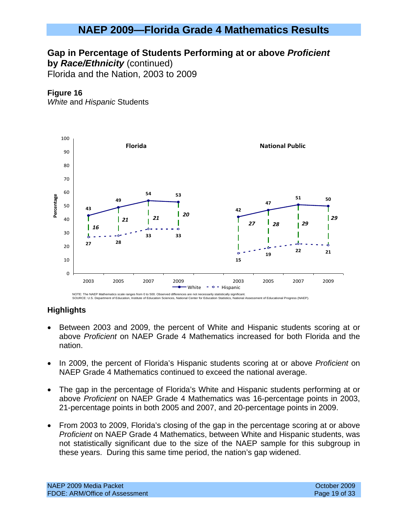### **Gap in Percentage of Students Performing at or above** *Proficient*

**by** *Race/Ethnicity* (continued)

Florida and the Nation, 2003 to 2009

### **Figure 16**

*White* and *Hispanic* Students



- Between 2003 and 2009, the percent of White and Hispanic students scoring at or above *Proficient* on NAEP Grade 4 Mathematics increased for both Florida and the nation.
- In 2009, the percent of Florida's Hispanic students scoring at or above *Proficient* on NAEP Grade 4 Mathematics continued to exceed the national average.
- The gap in the percentage of Florida's White and Hispanic students performing at or above *Proficient* on NAEP Grade 4 Mathematics was 16-percentage points in 2003, 21-percentage points in both 2005 and 2007, and 20-percentage points in 2009.
- From 2003 to 2009, Florida's closing of the gap in the percentage scoring at or above *Proficient* on NAEP Grade 4 Mathematics, between White and Hispanic students, was not statistically significant due to the size of the NAEP sample for this subgroup in these years. During this same time period, the nation's gap widened.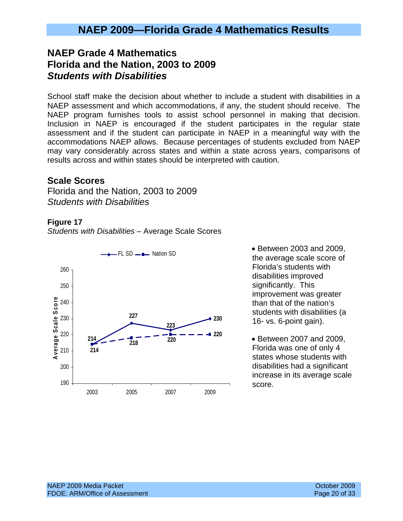## **NAEP Grade 4 Mathematics Florida and the Nation, 2003 to 2009**  *Students with Disabilities*

School staff make the decision about whether to include a student with disabilities in a NAEP assessment and which accommodations, if any, the student should receive. The NAEP program furnishes tools to assist school personnel in making that decision. Inclusion in NAEP is encouraged if the student participates in the regular state assessment and if the student can participate in NAEP in a meaningful way with the accommodations NAEP allows. Because percentages of students excluded from NAEP may vary considerably across states and within a state across years, comparisons of results across and within states should be interpreted with caution.

### **Scale Scores**

Florida and the Nation, 2003 to 2009 *Students with Disabilities* 

#### **Figure 17**

*Students with Disabilities* – Average Scale Scores



the average scale score of Florida's students with disabilities improved significantly. This improvement was greater than that of the nation's students with disabilities (a 16- vs. 6-point gain).

• Between 2007 and 2009, Florida was one of only 4 states whose students with disabilities had a significant increase in its average scale score.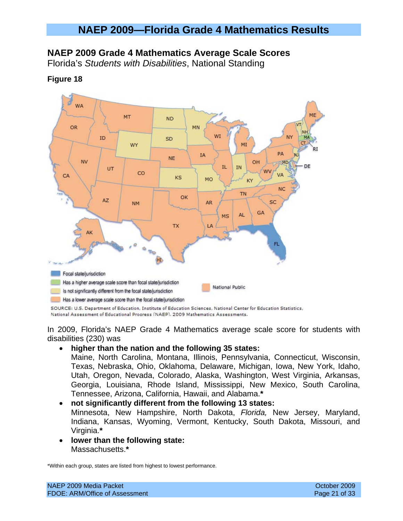### **NAEP 2009 Grade 4 Mathematics Average Scale Scores**

Florida's *Students with Disabilities*, National Standing



#### **Figure 18**

SOURCE: U.S. Department of Education, Institute of Education Sciences, National Center for Education Statistics, National Assessment of Educational Progress (NAEP). 2009 Mathematics Assessments.

In 2009, Florida's NAEP Grade 4 Mathematics average scale score for students with disabilities (230) was

### • **higher than the nation and the following 35 states:**

Maine, North Carolina, Montana, Illinois, Pennsylvania, Connecticut, Wisconsin, Texas, Nebraska, Ohio, Oklahoma, Delaware, Michigan, Iowa, New York, Idaho, Utah, Oregon, Nevada, Colorado, Alaska, Washington, West Virginia, Arkansas, Georgia, Louisiana, Rhode Island, Mississippi, New Mexico, South Carolina, Tennessee, Arizona, California, Hawaii, and Alabama.**\*** 

# • **not significantly different from the following 13 states:**

Minnesota, New Hampshire, North Dakota, *Florida,* New Jersey, Maryland, Indiana, Kansas, Wyoming, Vermont, Kentucky, South Dakota, Missouri, and Virginia.**\*** 

• **lower than the following state:**  Massachusetts.**\***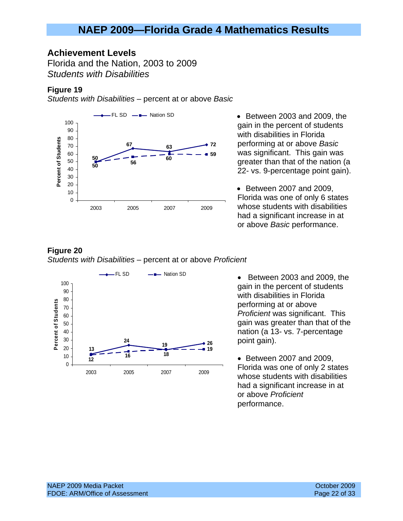### **Achievement Levels**

Florida and the Nation, 2003 to 2009 *Students with Disabilities* 

#### **Figure 19**

*Students with Disabilities* – percent at or above *Basic*



gain in the percent of students with disabilities in Florida performing at or above *Basic* was significant. This gain was greater than that of the nation (a 22- vs. 9-percentage point gain).

• Between 2007 and 2009, Florida was one of only 6 states whose students with disabilities had a significant increase in at or above *Basic* performance.

#### **Figure 20**  *Students with Disabilities* – percent at or above *Proficient*



gain in the percent of students with disabilities in Florida performing at or above *Proficient* was significant. This gain was greater than that of the nation (a 13- vs. 7-percentage point gain).

• Between 2007 and 2009, Florida was one of only 2 states whose students with disabilities had a significant increase in at or above *Proficient* performance.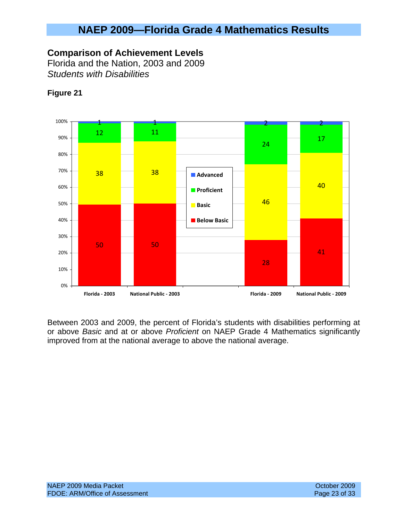### **Comparison of Achievement Levels**

Florida and the Nation, 2003 and 2009 *Students with Disabilities* 



### **Figure 21**

Between 2003 and 2009, the percent of Florida's students with disabilities performing at or above *Basic* and at or above *Proficient* on NAEP Grade 4 Mathematics significantly improved from at the national average to above the national average.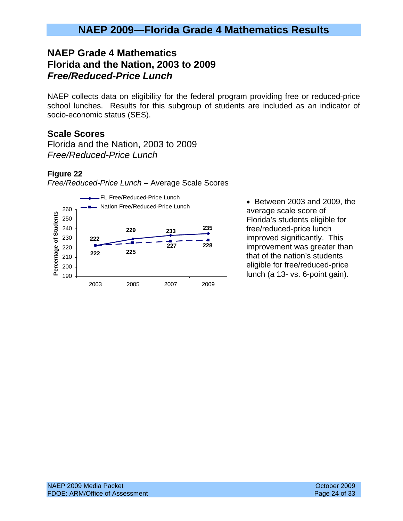## **NAEP Grade 4 Mathematics Florida and the Nation, 2003 to 2009**  *Free/Reduced-Price Lunch*

NAEP collects data on eligibility for the federal program providing free or reduced-price school lunches. Results for this subgroup of students are included as an indicator of socio-economic status (SES).

### **Scale Scores**

Florida and the Nation, 2003 to 2009 *Free/Reduced-Price Lunch* 

### **Figure 22**





average scale score of Florida's students eligible for free/reduced-price lunch improved significantly. This improvement was greater than that of the nation's students eligible for free/reduced-price lunch (a 13- vs. 6-point gain).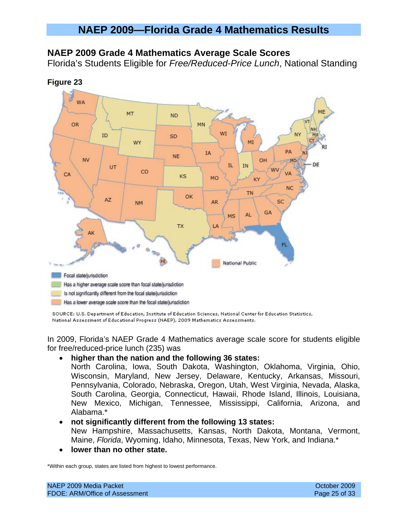### **NAEP 2009 Grade 4 Mathematics Average Scale Scores**

Florida's Students Eligible for *Free/Reduced-Price Lunch*, National Standing



SOURCE: U.S. Department of Education, Institute of Education Sciences, National Center for Education Statistics, National Assessment of Educational Progress (NAEP), 2009 Mathematics Assessments.

In 2009, Florida's NAEP Grade 4 Mathematics average scale score for students eligible for free/reduced-price lunch (235) was

#### • **higher than the nation and the following 36 states:**

North Carolina, Iowa, South Dakota, Washington, Oklahoma, Virginia, Ohio, Wisconsin, Maryland, New Jersey, Delaware, Kentucky, Arkansas, Missouri, Pennsylvania, Colorado, Nebraska, Oregon, Utah, West Virginia, Nevada, Alaska, South Carolina, Georgia, Connecticut, Hawaii, Rhode Island, Illinois, Louisiana, New Mexico, Michigan, Tennessee, Mississippi, California, Arizona, and Alabama.\*

#### • **not significantly different from the following 13 states:**

New Hampshire, Massachusetts, Kansas, North Dakota, Montana, Vermont, Maine, *Florida*, Wyoming, Idaho, Minnesota, Texas, New York, and Indiana.\*

• **lower than no other state.**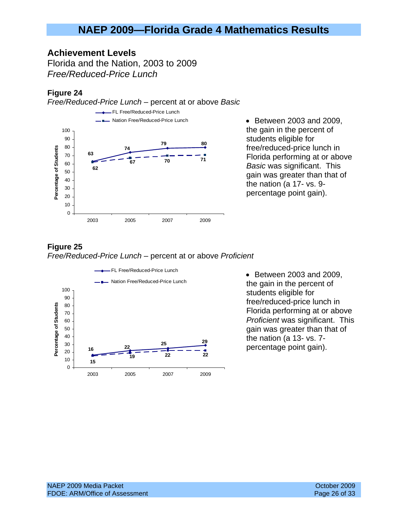### **Achievement Levels**

Florida and the Nation, 2003 to 2009 *Free/Reduced-Price Lunch* 

### **Figure 24**

*Free/Reduced-Price Lunch* – percent at or above *Basic*



the gain in the percent of students eligible for free/reduced-price lunch in Florida performing at or above *Basic* was significant. This gain was greater than that of the nation (a 17- vs. 9 percentage point gain).

### **Figure 25**  *Free/Reduced-Price Lunch* – percent at or above *Proficient*



• Between 2003 and 2009, the gain in the percent of students eligible for free/reduced-price lunch in Florida performing at or above *Proficient* was significant. This gain was greater than that of the nation (a 13- vs. 7 percentage point gain).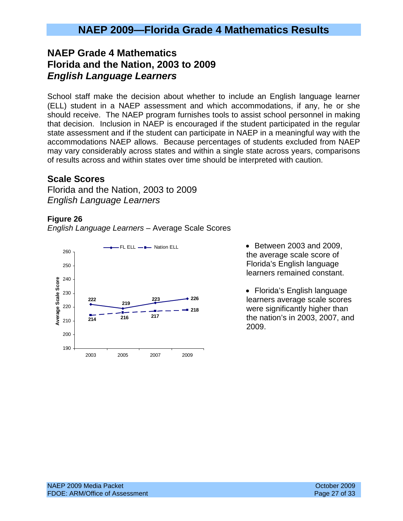## **NAEP Grade 4 Mathematics Florida and the Nation, 2003 to 2009**  *English Language Learners*

School staff make the decision about whether to include an English language learner (ELL) student in a NAEP assessment and which accommodations, if any, he or she should receive. The NAEP program furnishes tools to assist school personnel in making that decision. Inclusion in NAEP is encouraged if the student participated in the regular state assessment and if the student can participate in NAEP in a meaningful way with the accommodations NAEP allows. Because percentages of students excluded from NAEP may vary considerably across states and within a single state across years, comparisons of results across and within states over time should be interpreted with caution.

### **Scale Scores**

Florida and the Nation, 2003 to 2009 *English Language Learners* 

#### **Figure 26**

*English Language Learners* – Average Scale Scores



FL ELL  $\longrightarrow$  Nation ELL  $\longrightarrow$  Between 2003 and 2009, the average scale score of Florida's English language learners remained constant.

> • Florida's English language learners average scale scores were significantly higher than the nation's in 2003, 2007, and 2009.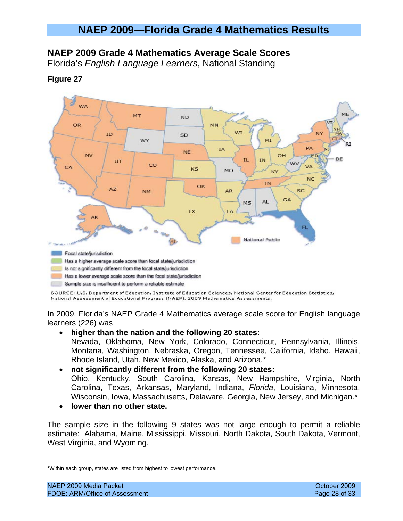### **NAEP 2009 Grade 4 Mathematics Average Scale Scores**

Florida's *English Language Learners*, National Standing

**Figure 27** 

#### **WA** ME MT **ND** OR MN W1 MN. ID SD wy MT PA **IA** NF **NV** OН MD. IL. **TN** DE UT co VA  $C_{\Delta}$  $KS$ MO KY **NC TN OK**  $AZ$ AR. SC **NM** GA AL  $MS$ **TX** LA FL. **National Public** HI Focal state/jurisdiction Has a higher average scale score than focal state/jurisdiction Is not significantly different from the focal state/jurisdiction Has a lower average scale score than the focal state/jurisdiction Sample size is insufficient to perform a reliable estimate

SOURCE: U.S. Department of Education, Institute of Education Sciences, National Center for Education Statistics, National Assessment of Educational Progress (NAEP), 2009 Mathematics Assessments.

In 2009, Florida's NAEP Grade 4 Mathematics average scale score for English language learners (226) was

### • **higher than the nation and the following 20 states:**

Nevada, Oklahoma, New York, Colorado, Connecticut, Pennsylvania, Illinois, Montana, Washington, Nebraska, Oregon, Tennessee, California, Idaho, Hawaii, Rhode Island, Utah, New Mexico, Alaska, and Arizona.\*

### • **not significantly different from the following 20 states:**

Ohio, Kentucky, South Carolina, Kansas, New Hampshire, Virginia, North Carolina, Texas, Arkansas, Maryland, Indiana, *Florida*, Louisiana, Minnesota, Wisconsin, Iowa, Massachusetts, Delaware, Georgia, New Jersey, and Michigan.\*

• **lower than no other state.** 

The sample size in the following 9 states was not large enough to permit a reliable estimate: Alabama, Maine, Mississippi, Missouri, North Dakota, South Dakota, Vermont, West Virginia, and Wyoming.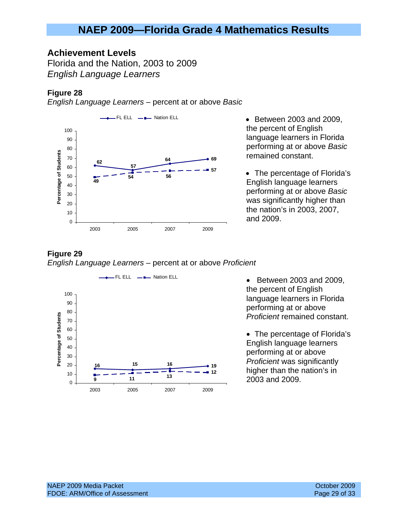### **Achievement Levels**

Florida and the Nation, 2003 to 2009 *English Language Learners* 

### **Figure 28**

*English Language Learners* – percent at or above *Basic*



the percent of English language learners in Florida performing at or above *Basic* remained constant.

• The percentage of Florida's English language learners performing at or above *Basic* was significantly higher than the nation's in 2003, 2007, and 2009.

#### **Figure 29**  *English Language Learners* – percent at or above *Proficient*



the percent of English language learners in Florida performing at or above *Proficient* remained constant.

• The percentage of Florida's English language learners performing at or above *Proficient* was significantly higher than the nation's in 2003 and 2009.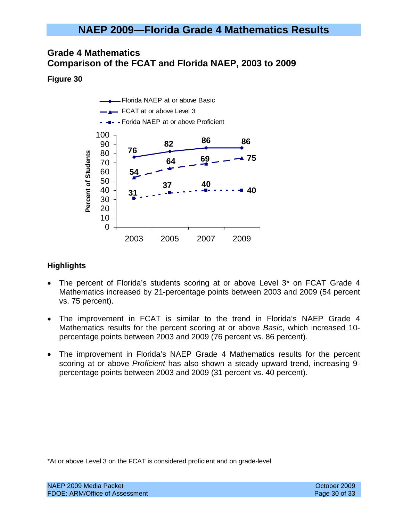### **Grade 4 Mathematics Comparison of the FCAT and Florida NAEP, 2003 to 2009**

### **Figure 30**



### **Highlights**

- The percent of Florida's students scoring at or above Level 3<sup>\*</sup> on FCAT Grade 4 Mathematics increased by 21-percentage points between 2003 and 2009 (54 percent vs. 75 percent).
- The improvement in FCAT is similar to the trend in Florida's NAEP Grade 4 Mathematics results for the percent scoring at or above *Basic*, which increased 10 percentage points between 2003 and 2009 (76 percent vs. 86 percent).
- The improvement in Florida's NAEP Grade 4 Mathematics results for the percent scoring at or above *Proficient* has also shown a steady upward trend, increasing 9 percentage points between 2003 and 2009 (31 percent vs. 40 percent).

\*At or above Level 3 on the FCAT is considered proficient and on grade-level.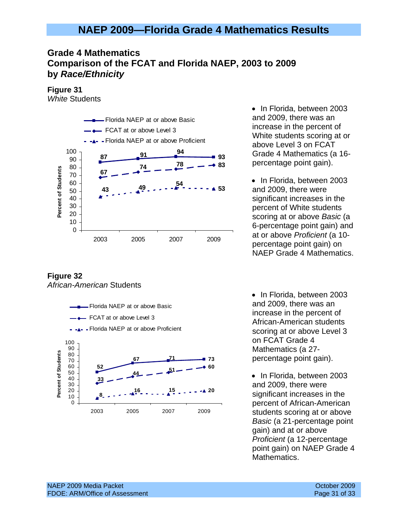## **Grade 4 Mathematics Comparison of the FCAT and Florida NAEP, 2003 to 2009 by** *Race/Ethnicity*

**Figure 31** 

*White* Students



**Figure 32**  *African-American* Students



• In Florida, between 2003 and 2009, there was an increase in the percent of White students scoring at or above Level 3 on FCAT Grade 4 Mathematics (a 16 percentage point gain).

• In Florida, between 2003 and 2009, there were significant increases in the percent of White students scoring at or above *Basic* (a 6-percentage point gain) and at or above *Proficient* (a 10 percentage point gain) on NAEP Grade 4 Mathematics.

• In Florida, between 2003 and 2009, there was an increase in the percent of African-American students scoring at or above Level 3 on FCAT Grade 4 Mathematics (a 27 percentage point gain).

• In Florida, between 2003 and 2009, there were significant increases in the percent of African-American students scoring at or above *Basic* (a 21-percentage point gain) and at or above *Proficient* (a 12-percentage point gain) on NAEP Grade 4 Mathematics.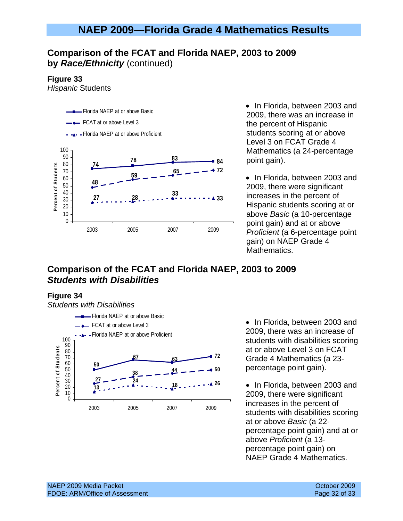### **Comparison of the FCAT and Florida NAEP, 2003 to 2009 by** *Race/Ethnicity* (continued)

#### **Figure 33**

*Hispanic* Students



• In Florida, between 2003 and 2009, there was an increase in the percent of Hispanic students scoring at or above Level 3 on FCAT Grade 4 Mathematics (a 24-percentage point gain).

• In Florida, between 2003 and 2009, there were significant increases in the percent of Hispanic students scoring at or above *Basic* (a 10-percentage point gain) and at or above *Proficient* (a 6-percentage point gain) on NAEP Grade 4 Mathematics.

### **Comparison of the FCAT and Florida NAEP, 2003 to 2009**  *Students with Disabilities*

#### **Figure 34**

*Students with Disabilities* 



• In Florida, between 2003 and 2009, there was an increase of students with disabilities scoring at or above Level 3 on FCAT Grade 4 Mathematics (a 23 percentage point gain).

• In Florida, between 2003 and 2009, there were significant increases in the percent of students with disabilities scoring at or above *Basic* (a 22 percentage point gain) and at or above *Proficient* (a 13 percentage point gain) on NAEP Grade 4 Mathematics.